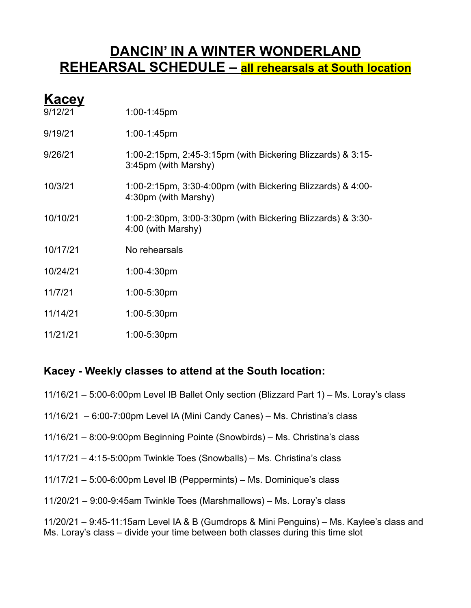#### **DANCIN' IN A WINTER WONDERLAND REHEARSAL SCHEDULE – all rehearsals at South location**

| Kacey    |                                                                                     |
|----------|-------------------------------------------------------------------------------------|
| 9/12/21  | $1:00-1:45$ pm                                                                      |
| 9/19/21  | $1:00-1:45$ pm                                                                      |
| 9/26/21  | 1:00-2:15pm, 2:45-3:15pm (with Bickering Blizzards) & 3:15-<br>3:45pm (with Marshy) |
| 10/3/21  | 1:00-2:15pm, 3:30-4:00pm (with Bickering Blizzards) & 4:00-<br>4:30pm (with Marshy) |
| 10/10/21 | 1:00-2:30pm, 3:00-3:30pm (with Bickering Blizzards) & 3:30-<br>4:00 (with Marshy)   |
| 10/17/21 | No rehearsals                                                                       |
| 10/24/21 | 1:00-4:30pm                                                                         |
| 11/7/21  | $1:00 - 5:30$ pm                                                                    |
| 11/14/21 | $1:00 - 5:30$ pm                                                                    |
|          |                                                                                     |

11/21/21 1:00-5:30pm

#### **Kacey - Weekly classes to attend at the South location:**

- 11/16/21 5:00-6:00pm Level IB Ballet Only section (Blizzard Part 1) Ms. Loray's class
- 11/16/21 6:00-7:00pm Level IA (Mini Candy Canes) Ms. Christina's class
- 11/16/21 8:00-9:00pm Beginning Pointe (Snowbirds) Ms. Christina's class
- 11/17/21 4:15-5:00pm Twinkle Toes (Snowballs) Ms. Christina's class
- 11/17/21 5:00-6:00pm Level IB (Peppermints) Ms. Dominique's class
- 11/20/21 9:00-9:45am Twinkle Toes (Marshmallows) Ms. Loray's class

11/20/21 – 9:45-11:15am Level IA & B (Gumdrops & Mini Penguins) – Ms. Kaylee's class and Ms. Loray's class – divide your time between both classes during this time slot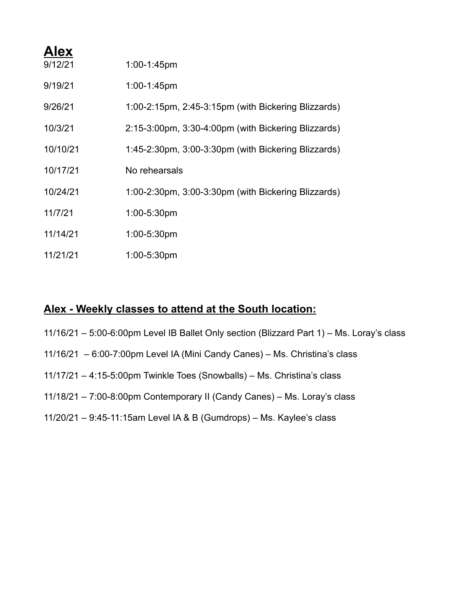| <b>Alex</b> |                                                     |
|-------------|-----------------------------------------------------|
| 9/12/21     | 1:00-1:45pm                                         |
| 9/19/21     | $1:00-1:45$ pm                                      |
| 9/26/21     | 1:00-2:15pm, 2:45-3:15pm (with Bickering Blizzards) |
| 10/3/21     | 2:15-3:00pm, 3:30-4:00pm (with Bickering Blizzards) |
| 10/10/21    | 1:45-2:30pm, 3:00-3:30pm (with Bickering Blizzards) |
| 10/17/21    | No rehearsals                                       |
| 10/24/21    | 1:00-2:30pm, 3:00-3:30pm (with Bickering Blizzards) |
| 11/7/21     | 1:00-5:30pm                                         |
| 11/14/21    | 1:00-5:30pm                                         |
| 11/21/21    | 1:00-5:30pm                                         |

#### **Alex - Weekly classes to attend at the South location:**

11/16/21 – 5:00-6:00pm Level IB Ballet Only section (Blizzard Part 1) – Ms. Loray's class 11/16/21 – 6:00-7:00pm Level IA (Mini Candy Canes) – Ms. Christina's class 11/17/21 – 4:15-5:00pm Twinkle Toes (Snowballs) – Ms. Christina's class 11/18/21 – 7:00-8:00pm Contemporary II (Candy Canes) – Ms. Loray's class 11/20/21 – 9:45-11:15am Level IA & B (Gumdrops) – Ms. Kaylee's class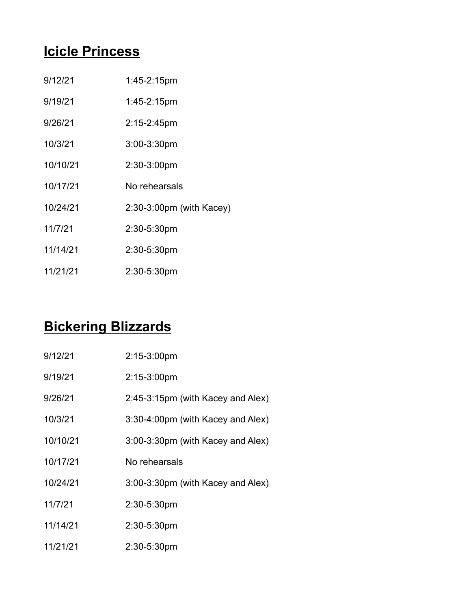## **Icicle Princess**

| 9/12/21 | $1:45-2:15$ pm |
|---------|----------------|
|         |                |

- 9/19/21 1:45-2:15pm
- 9/26/21 2:15-2:45pm
- 10/3/21 3:00-3:30pm
- 10/10/21 2:30-3:00pm
- 10/17/21 No rehearsals
- 10/24/21 2:30-3:00pm (with Kacey)
- 11/7/21 2:30-5:30pm
- 11/14/21 2:30-5:30pm
- 11/21/21 2:30-5:30pm

### **Bickering Blizzards**

| 9/12/21  | $2:15-3:00$ pm                    |
|----------|-----------------------------------|
| 9/19/21  | $2:15-3:00pm$                     |
| 9/26/21  | 2:45-3:15pm (with Kacey and Alex) |
| 10/3/21  | 3:30-4:00pm (with Kacey and Alex) |
| 10/10/21 | 3:00-3:30pm (with Kacey and Alex) |
| 10/17/21 | No rehearsals                     |
| 10/24/21 | 3:00-3:30pm (with Kacey and Alex) |
| 11/7/21  | 2:30-5:30pm                       |
| 11/14/21 | 2:30-5:30pm                       |
| 11/21/21 | 2:30-5:30pm                       |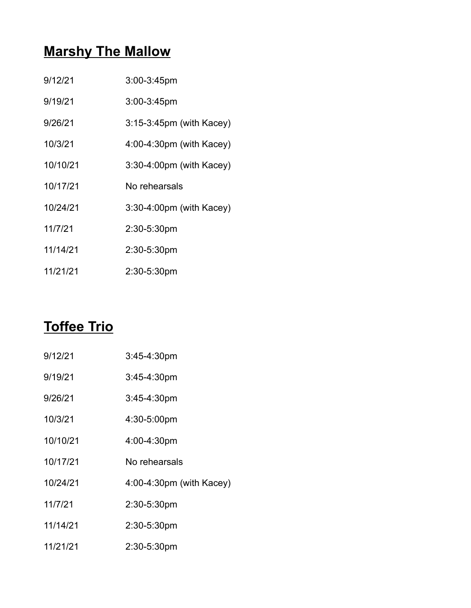# **Marshy The Mallow**

| 9/12/21  | 3:00-3:45pm                 |
|----------|-----------------------------|
| 9/19/21  | $3:00 - 3:45$ pm            |
| 9/26/21  | $3:15-3:45$ pm (with Kacey) |
| 10/3/21  | $4.00-4.30$ pm (with Kacey) |
| 10/10/21 | 3:30-4:00pm (with Kacey)    |
| 10/17/21 | No rehearsals               |
| 10/24/21 | 3:30-4:00pm (with Kacey)    |
|          |                             |
| 11/7/21  | 2:30-5:30pm                 |
| 11/14/21 | 2:30-5:30pm                 |

### **Toffee Trio**

| 9/12/21  | $3:45-4:30pm$               |
|----------|-----------------------------|
| 9/19/21  | $3:45-4:30pm$               |
| 9/26/21  | $3:45-4:30pm$               |
| 10/3/21  | 4:30-5:00pm                 |
| 10/10/21 | 4:00-4:30pm                 |
| 10/17/21 | No rehearsals               |
| 10/24/21 | $4.00-4.30$ pm (with Kacey) |
| 11/7/21  | 2:30-5:30pm                 |
| 11/14/21 | 2:30-5:30pm                 |
| 11/21/21 | 2:30-5:30pm                 |